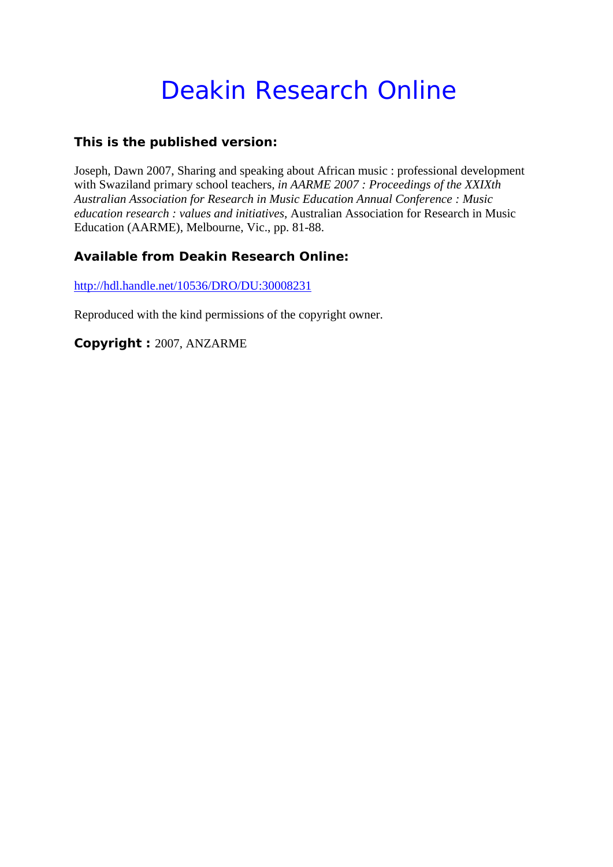# Deakin Research Online

# **This is the published version:**

Joseph, Dawn 2007, Sharing and speaking about African music : professional development with Swaziland primary school teachers*, in AARME 2007 : Proceedings of the XXIXth Australian Association for Research in Music Education Annual Conference : Music education research : values and initiatives*, Australian Association for Research in Music Education (AARME), Melbourne, Vic., pp. 81-88.

# **Available from Deakin Research Online:**

http://hdl.handle.net/10536/DRO/DU:30008231

Reproduced with the kind permissions of the copyright owner.

**Copyright :** 2007, ANZARME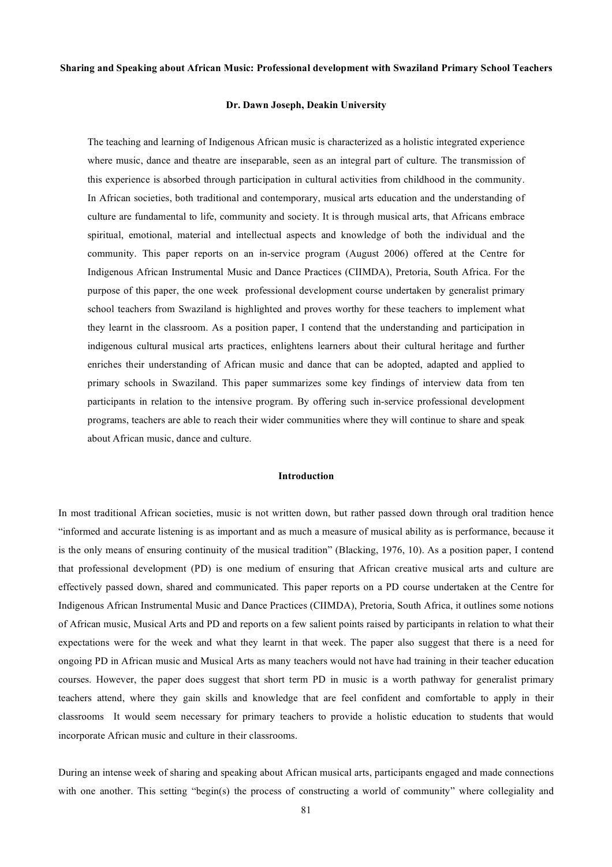#### **Sharing and Speaking about African Music: Professional development with Swaziland Primary School Teachers**

## **Dr. Dawn Joseph, Deakin University**

The teaching and learning of Indigenous African music is characterized as a holistic integrated experience where music, dance and theatre are inseparable, seen as an integral part of culture. The transmission of this experience is absorbed through participation in cultural activities from childhood in the community. In African societies, both traditional and contemporary, musical arts education and the understanding of culture are fundamental to life, community and society. It is through musical arts, that Africans embrace spiritual, emotional, material and intellectual aspects and knowledge of both the individual and the community. This paper reports on an in-service program (August 2006) offered at the Centre for Indigenous African Instrumental Music and Dance Practices (CIIMDA), Pretoria, South Africa. For the purpose of this paper, the one week professional development course undertaken by generalist primary school teachers from Swaziland is highlighted and proves worthy for these teachers to implement what they learnt in the classroom. As a position paper, I contend that the understanding and participation in indigenous cultural musical arts practices, enlightens learners about their cultural heritage and further enriches their understanding of African music and dance that can be adopted, adapted and applied to primary schools in Swaziland. This paper summarizes some key findings of interview data from ten participants in relation to the intensive program. By offering such in-service professional development programs, teachers are able to reach their wider communities where they will continue to share and speak about African music, dance and culture.

#### **Introduction**

In most traditional African societies, music is not written down, but rather passed down through oral tradition hence "informed and accurate listening is as important and as much a measure of musical ability as is performance, because it is the only means of ensuring continuity of the musical tradition" (Blacking, 1976, 10). As a position paper, I contend that professional development (PD) is one medium of ensuring that African creative musical arts and culture are effectively passed down, shared and communicated. This paper reports on a PD course undertaken at the Centre for Indigenous African Instrumental Music and Dance Practices (CIIMDA), Pretoria, South Africa, it outlines some notions of African music, Musical Arts and PD and reports on a few salient points raised by participants in relation to what their expectations were for the week and what they learnt in that week. The paper also suggest that there is a need for ongoing PD in African music and Musical Arts as many teachers would not have had training in their teacher education courses. However, the paper does suggest that short term PD in music is a worth pathway for generalist primary teachers attend, where they gain skills and knowledge that are feel confident and comfortable to apply in their classrooms It would seem necessary for primary teachers to provide a holistic education to students that would incorporate African music and culture in their classrooms.

During an intense week of sharing and speaking about African musical arts, participants engaged and made connections with one another. This setting "begin(s) the process of constructing a world of community" where collegiality and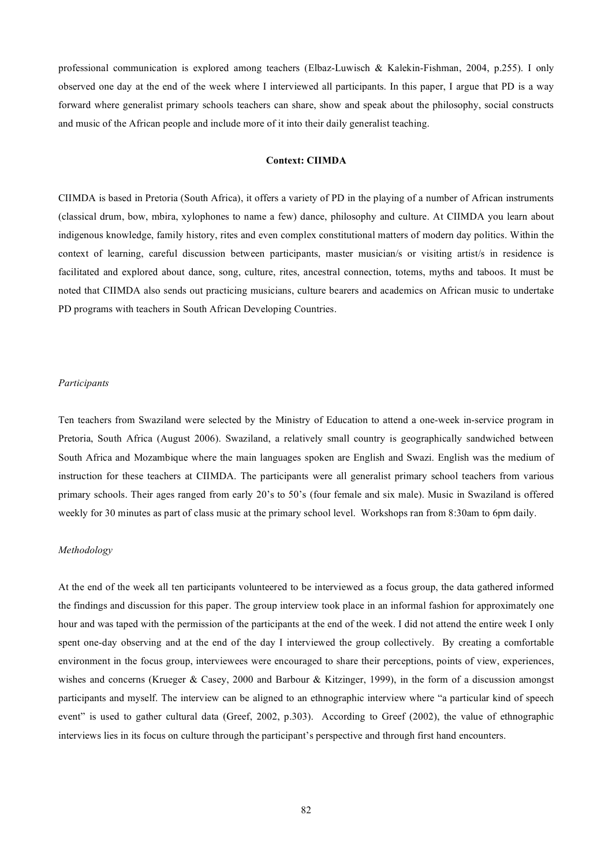professional communication is explored among teachers (Elbaz-Luwisch & Kalekin-Fishman, 2004, p.255). I only observed one day at the end of the week where I interviewed all participants. In this paper, I argue that PD is a way forward where generalist primary schools teachers can share, show and speak about the philosophy, social constructs and music of the African people and include more of it into their daily generalist teaching.

## **Context: CIIMDA**

CIIMDA is based in Pretoria (South Africa), it offers a variety of PD in the playing of a number of African instruments (classical drum, bow, mbira, xylophones to name a few) dance, philosophy and culture. At CIIMDA you learn about indigenous knowledge, family history, rites and even complex constitutional matters of modern day politics. Within the context of learning, careful discussion between participants, master musician/s or visiting artist/s in residence is facilitated and explored about dance, song, culture, rites, ancestral connection, totems, myths and taboos. It must be noted that CIIMDA also sends out practicing musicians, culture bearers and academics on African music to undertake PD programs with teachers in South African Developing Countries.

#### *Participants*

Ten teachers from Swaziland were selected by the Ministry of Education to attend a one-week in-service program in Pretoria, South Africa (August 2006). Swaziland, a relatively small country is geographically sandwiched between South Africa and Mozambique where the main languages spoken are English and Swazi. English was the medium of instruction for these teachers at CIIMDA. The participants were all generalist primary school teachers from various primary schools. Their ages ranged from early 20's to 50's (four female and six male). Music in Swaziland is offered weekly for 30 minutes as part of class music at the primary school level. Workshops ran from 8:30am to 6pm daily.

# *Methodology*

At the end of the week all ten participants volunteered to be interviewed as a focus group, the data gathered informed the findings and discussion for this paper. The group interview took place in an informal fashion for approximately one hour and was taped with the permission of the participants at the end of the week. I did not attend the entire week I only spent one-day observing and at the end of the day I interviewed the group collectively. By creating a comfortable environment in the focus group, interviewees were encouraged to share their perceptions, points of view, experiences, wishes and concerns (Krueger & Casey, 2000 and Barbour & Kitzinger, 1999), in the form of a discussion amongst participants and myself. The interview can be aligned to an ethnographic interview where "a particular kind of speech event" is used to gather cultural data (Greef, 2002, p.303). According to Greef (2002), the value of ethnographic interviews lies in its focus on culture through the participant's perspective and through first hand encounters.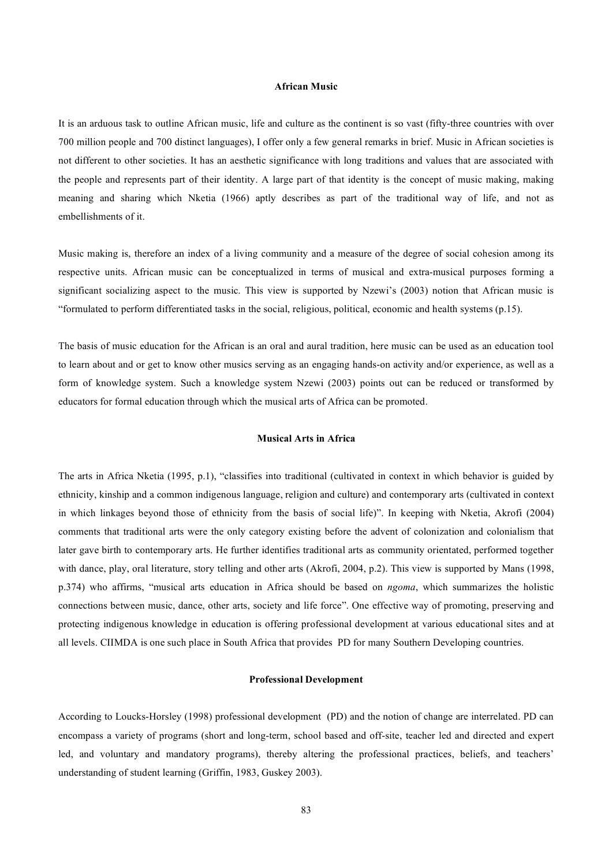# **African Music**

It is an arduous task to outline African music, life and culture as the continent is so vast (fifty-three countries with over 700 million people and 700 distinct languages), I offer only a few general remarks in brief. Music in African societies is not different to other societies. It has an aesthetic significance with long traditions and values that are associated with the people and represents part of their identity. A large part of that identity is the concept of music making, making meaning and sharing which Nketia (1966) aptly describes as part of the traditional way of life, and not as embellishments of it.

Music making is, therefore an index of a living community and a measure of the degree of social cohesion among its respective units. African music can be conceptualized in terms of musical and extra-musical purposes forming a significant socializing aspect to the music. This view is supported by Nzewi's (2003) notion that African music is "formulated to perform differentiated tasks in the social, religious, political, economic and health systems (p.15).

The basis of music education for the African is an oral and aural tradition, here music can be used as an education tool to learn about and or get to know other musics serving as an engaging hands-on activity and/or experience, as well as a form of knowledge system. Such a knowledge system Nzewi (2003) points out can be reduced or transformed by educators for formal education through which the musical arts of Africa can be promoted.

# **Musical Arts in Africa**

The arts in Africa Nketia (1995, p.1), "classifies into traditional (cultivated in context in which behavior is guided by ethnicity, kinship and a common indigenous language, religion and culture) and contemporary arts (cultivated in context in which linkages beyond those of ethnicity from the basis of social life)". In keeping with Nketia, Akrofi (2004) comments that traditional arts were the only category existing before the advent of colonization and colonialism that later gave birth to contemporary arts. He further identifies traditional arts as community orientated, performed together with dance, play, oral literature, story telling and other arts (Akrofi, 2004, p.2). This view is supported by Mans (1998, p.374) who affirms, "musical arts education in Africa should be based on *ngoma*, which summarizes the holistic connections between music, dance, other arts, society and life force". One effective way of promoting, preserving and protecting indigenous knowledge in education is offering professional development at various educational sites and at all levels. CIIMDA is one such place in South Africa that provides PD for many Southern Developing countries.

# **Professional Development**

According to Loucks-Horsley (1998) professional development (PD) and the notion of change are interrelated. PD can encompass a variety of programs (short and long-term, school based and off-site, teacher led and directed and expert led, and voluntary and mandatory programs), thereby altering the professional practices, beliefs, and teachers' understanding of student learning (Griffin, 1983, Guskey 2003).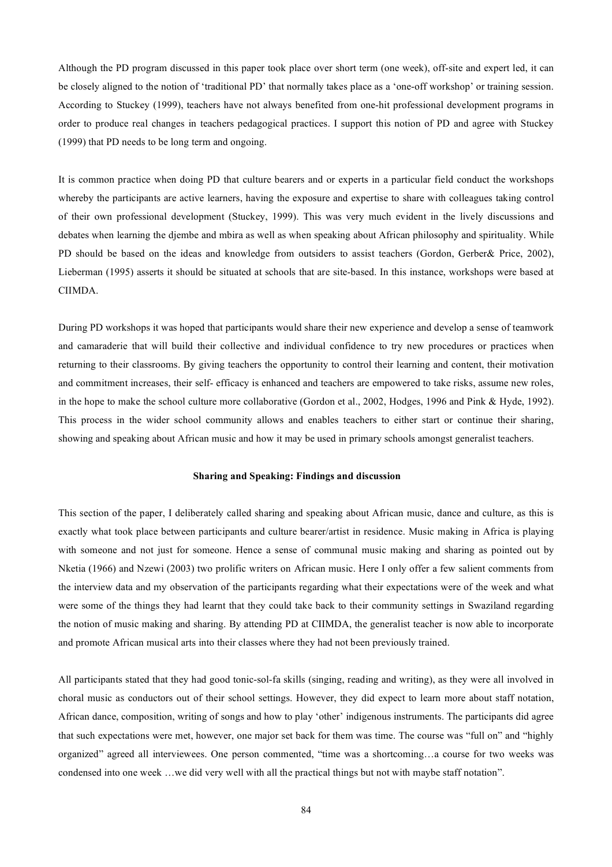Although the PD program discussed in this paper took place over short term (one week), off-site and expert led, it can be closely aligned to the notion of 'traditional PD' that normally takes place as a 'one-off workshop' or training session. According to Stuckey (1999), teachers have not always benefited from one-hit professional development programs in order to produce real changes in teachers pedagogical practices. I support this notion of PD and agree with Stuckey (1999) that PD needs to be long term and ongoing.

It is common practice when doing PD that culture bearers and or experts in a particular field conduct the workshops whereby the participants are active learners, having the exposure and expertise to share with colleagues taking control of their own professional development (Stuckey, 1999). This was very much evident in the lively discussions and debates when learning the djembe and mbira as well as when speaking about African philosophy and spirituality. While PD should be based on the ideas and knowledge from outsiders to assist teachers (Gordon, Gerber& Price, 2002), Lieberman (1995) asserts it should be situated at schools that are site-based. In this instance, workshops were based at CIIMDA.

During PD workshops it was hoped that participants would share their new experience and develop a sense of teamwork and camaraderie that will build their collective and individual confidence to try new procedures or practices when returning to their classrooms. By giving teachers the opportunity to control their learning and content, their motivation and commitment increases, their self- efficacy is enhanced and teachers are empowered to take risks, assume new roles, in the hope to make the school culture more collaborative (Gordon et al., 2002, Hodges, 1996 and Pink & Hyde, 1992). This process in the wider school community allows and enables teachers to either start or continue their sharing, showing and speaking about African music and how it may be used in primary schools amongst generalist teachers.

# **Sharing and Speaking: Findings and discussion**

This section of the paper, I deliberately called sharing and speaking about African music, dance and culture, as this is exactly what took place between participants and culture bearer/artist in residence. Music making in Africa is playing with someone and not just for someone. Hence a sense of communal music making and sharing as pointed out by Nketia (1966) and Nzewi (2003) two prolific writers on African music. Here I only offer a few salient comments from the interview data and my observation of the participants regarding what their expectations were of the week and what were some of the things they had learnt that they could take back to their community settings in Swaziland regarding the notion of music making and sharing. By attending PD at CIIMDA, the generalist teacher is now able to incorporate and promote African musical arts into their classes where they had not been previously trained.

All participants stated that they had good tonic-sol-fa skills (singing, reading and writing), as they were all involved in choral music as conductors out of their school settings. However, they did expect to learn more about staff notation, African dance, composition, writing of songs and how to play 'other' indigenous instruments. The participants did agree that such expectations were met, however, one major set back for them was time. The course was "full on" and "highly organized" agreed all interviewees. One person commented, "time was a shortcoming…a course for two weeks was condensed into one week …we did very well with all the practical things but not with maybe staff notation".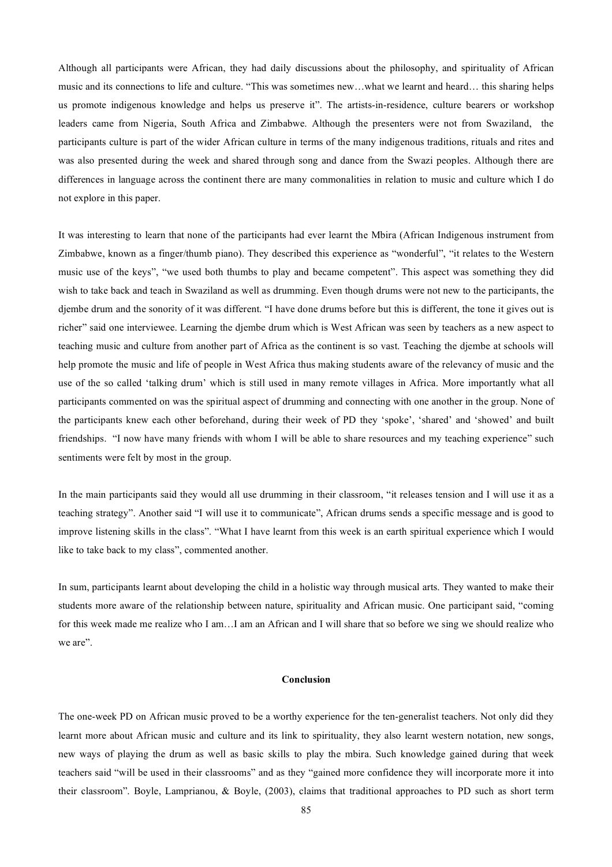Although all participants were African, they had daily discussions about the philosophy, and spirituality of African music and its connections to life and culture. "This was sometimes new…what we learnt and heard… this sharing helps us promote indigenous knowledge and helps us preserve it". The artists-in-residence, culture bearers or workshop leaders came from Nigeria, South Africa and Zimbabwe. Although the presenters were not from Swaziland, the participants culture is part of the wider African culture in terms of the many indigenous traditions, rituals and rites and was also presented during the week and shared through song and dance from the Swazi peoples. Although there are differences in language across the continent there are many commonalities in relation to music and culture which I do not explore in this paper.

It was interesting to learn that none of the participants had ever learnt the Mbira (African Indigenous instrument from Zimbabwe, known as a finger/thumb piano). They described this experience as "wonderful", "it relates to the Western music use of the keys", "we used both thumbs to play and became competent". This aspect was something they did wish to take back and teach in Swaziland as well as drumming. Even though drums were not new to the participants, the djembe drum and the sonority of it was different. "I have done drums before but this is different, the tone it gives out is richer" said one interviewee. Learning the djembe drum which is West African was seen by teachers as a new aspect to teaching music and culture from another part of Africa as the continent is so vast. Teaching the djembe at schools will help promote the music and life of people in West Africa thus making students aware of the relevancy of music and the use of the so called 'talking drum' which is still used in many remote villages in Africa. More importantly what all participants commented on was the spiritual aspect of drumming and connecting with one another in the group. None of the participants knew each other beforehand, during their week of PD they 'spoke', 'shared' and 'showed' and built friendships. "I now have many friends with whom I will be able to share resources and my teaching experience" such sentiments were felt by most in the group.

In the main participants said they would all use drumming in their classroom, "it releases tension and I will use it as a teaching strategy". Another said "I will use it to communicate", African drums sends a specific message and is good to improve listening skills in the class". "What I have learnt from this week is an earth spiritual experience which I would like to take back to my class", commented another.

In sum, participants learnt about developing the child in a holistic way through musical arts. They wanted to make their students more aware of the relationship between nature, spirituality and African music. One participant said, "coming for this week made me realize who I am…I am an African and I will share that so before we sing we should realize who we are".

## **Conclusion**

The one-week PD on African music proved to be a worthy experience for the ten-generalist teachers. Not only did they learnt more about African music and culture and its link to spirituality, they also learnt western notation, new songs, new ways of playing the drum as well as basic skills to play the mbira. Such knowledge gained during that week teachers said "will be used in their classrooms" and as they "gained more confidence they will incorporate more it into their classroom". Boyle, Lamprianou, & Boyle, (2003), claims that traditional approaches to PD such as short term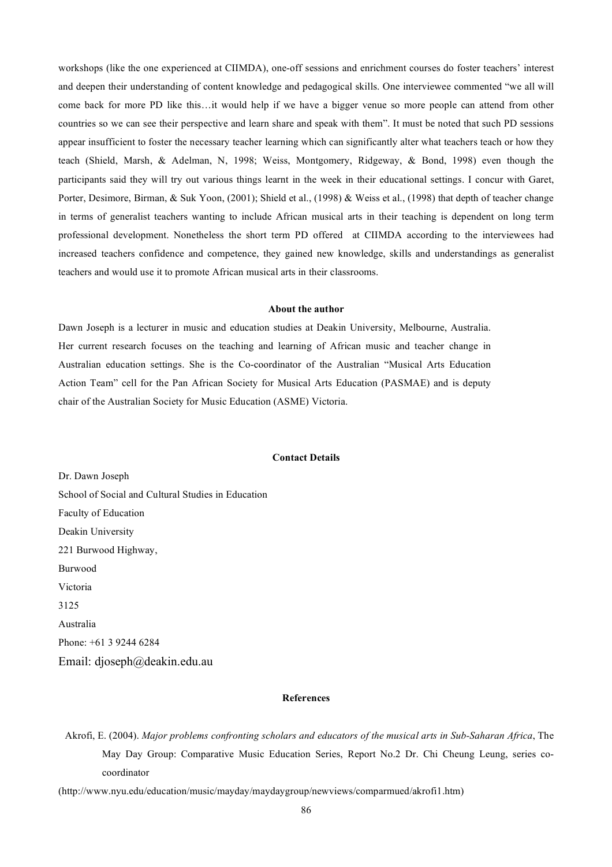workshops (like the one experienced at CIIMDA), one-off sessions and enrichment courses do foster teachers' interest and deepen their understanding of content knowledge and pedagogical skills. One interviewee commented "we all will come back for more PD like this…it would help if we have a bigger venue so more people can attend from other countries so we can see their perspective and learn share and speak with them". It must be noted that such PD sessions appear insufficient to foster the necessary teacher learning which can significantly alter what teachers teach or how they teach (Shield, Marsh, & Adelman, N, 1998; Weiss, Montgomery, Ridgeway, & Bond, 1998) even though the participants said they will try out various things learnt in the week in their educational settings. I concur with Garet, Porter, Desimore, Birman, & Suk Yoon, (2001); Shield et al., (1998) & Weiss et al., (1998) that depth of teacher change in terms of generalist teachers wanting to include African musical arts in their teaching is dependent on long term professional development. Nonetheless the short term PD offered at CIIMDA according to the interviewees had increased teachers confidence and competence, they gained new knowledge, skills and understandings as generalist teachers and would use it to promote African musical arts in their classrooms.

# **About the author**

Dawn Joseph is a lecturer in music and education studies at Deakin University, Melbourne, Australia. Her current research focuses on the teaching and learning of African music and teacher change in Australian education settings. She is the Co-coordinator of the Australian "Musical Arts Education Action Team" cell for the Pan African Society for Musical Arts Education (PASMAE) and is deputy chair of the Australian Society for Music Education (ASME) Victoria.

## **Contact Details**

Dr. Dawn Joseph School of Social and Cultural Studies in Education Faculty of Education Deakin University 221 Burwood Highway, Burwood Victoria 3125 Australia Phone: +61 3 9244 6284 Email: djoseph@deakin.edu.au

#### **References**

Akrofi, E. (2004). *Major problems confronting scholars and educators of the musical arts in Sub-Saharan Africa*, The May Day Group: Comparative Music Education Series, Report No.2 Dr. Chi Cheung Leung, series cocoordinator

(http://www.nyu.edu/education/music/mayday/maydaygroup/newviews/comparmued/akrofi1.htm)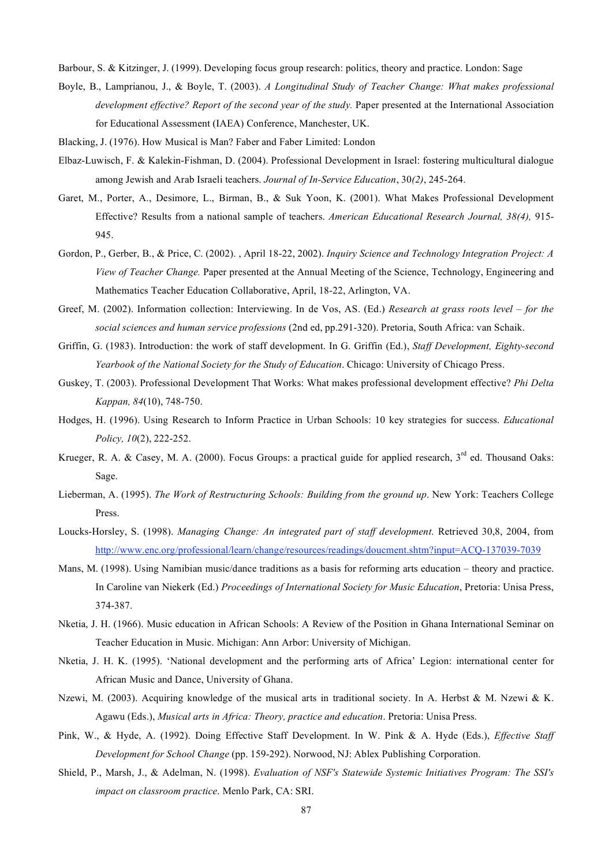Barbour, S. & Kitzinger, J. (1999). Developing focus group research: politics, theory and practice. London: Sage

- Boyle, B., Lamprianou, J., & Boyle, T. (2003). *A Longitudinal Study of Teacher Change: What makes professional development effective? Report of the second year of the study.* Paper presented at the International Association for Educational Assessment (IAEA) Conference, Manchester, UK.
- Blacking, J. (1976). How Musical is Man? Faber and Faber Limited: London
- Elbaz-Luwisch, F. & Kalekin-Fishman, D. (2004). Professional Development in Israel: fostering multicultural dialogue among Jewish and Arab Israeli teachers. *Journal of In-Service Education*, 30*(2)*, 245-264.
- Garet, M., Porter, A., Desimore, L., Birman, B., & Suk Yoon, K. (2001). What Makes Professional Development Effective? Results from a national sample of teachers. *American Educational Research Journal, 38(4),* 915- 945.
- Gordon, P., Gerber, B., & Price, C. (2002). , April 18-22, 2002). *Inquiry Science and Technology Integration Project: A View of Teacher Change.* Paper presented at the Annual Meeting of the Science, Technology, Engineering and Mathematics Teacher Education Collaborative, April, 18-22, Arlington, VA.
- Greef, M. (2002). Information collection: Interviewing. In de Vos, AS. (Ed.) *Research at grass roots level – for the social sciences and human service professions* (2nd ed, pp.291-320). Pretoria, South Africa: van Schaik.
- Griffin, G. (1983). Introduction: the work of staff development. In G. Griffin (Ed.), *Staff Development, Eighty-second Yearbook of the National Society for the Study of Education*. Chicago: University of Chicago Press.
- Guskey, T. (2003). Professional Development That Works: What makes professional development effective? *Phi Delta Kappan, 84*(10), 748-750.
- Hodges, H. (1996). Using Research to Inform Practice in Urban Schools: 10 key strategies for success. *Educational Policy, 10*(2), 222-252.
- Krueger, R. A. & Casey, M. A. (2000). Focus Groups: a practical guide for applied research,  $3^{rd}$  ed. Thousand Oaks: Sage.
- Lieberman, A. (1995). *The Work of Restructuring Schools: Building from the ground up*. New York: Teachers College Press.
- Loucks-Horsley, S. (1998). *Managing Change: An integrated part of staff development*. Retrieved 30,8, 2004, from http://www.enc.org/professional/learn/change/resources/readings/doucment.shtm?input=ACQ-137039-7039
- Mans, M. (1998). Using Namibian music/dance traditions as a basis for reforming arts education theory and practice. In Caroline van Niekerk (Ed.) *Proceedings of International Society for Music Education*, Pretoria: Unisa Press, 374-387.
- Nketia, J. H. (1966). Music education in African Schools: A Review of the Position in Ghana International Seminar on Teacher Education in Music. Michigan: Ann Arbor: University of Michigan.
- Nketia, J. H. K. (1995). 'National development and the performing arts of Africa' Legion: international center for African Music and Dance, University of Ghana.
- Nzewi, M. (2003). Acquiring knowledge of the musical arts in traditional society. In A. Herbst & M. Nzewi & K. Agawu (Eds.), *Musical arts in Africa: Theory, practice and education*. Pretoria: Unisa Press.
- Pink, W., & Hyde, A. (1992). Doing Effective Staff Development. In W. Pink & A. Hyde (Eds.), *Effective Staff Development for School Change* (pp. 159-292). Norwood, NJ: Ablex Publishing Corporation.
- Shield, P., Marsh, J., & Adelman, N. (1998). *Evaluation of NSF's Statewide Systemic Initiatives Program: The SSI's impact on classroom practice*. Menlo Park, CA: SRI.